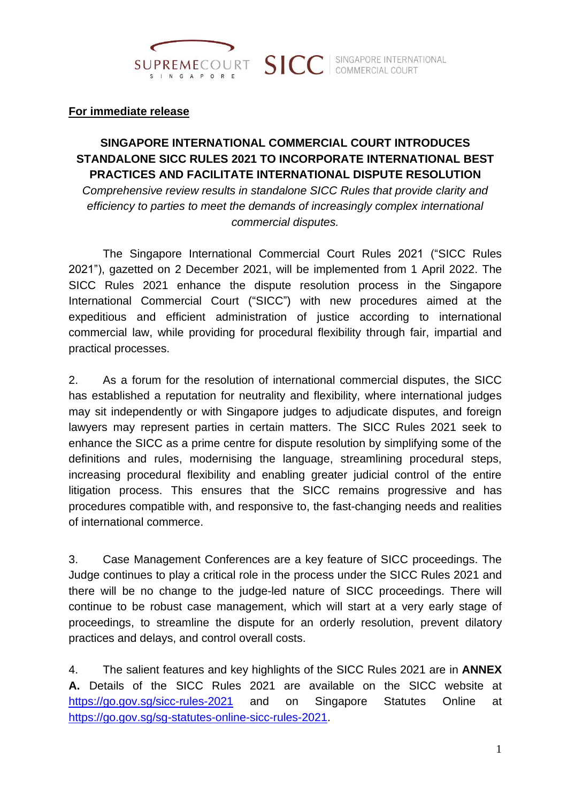

#### **For immediate release**

# **SINGAPORE INTERNATIONAL COMMERCIAL COURT INTRODUCES STANDALONE SICC RULES 2021 TO INCORPORATE INTERNATIONAL BEST PRACTICES AND FACILITATE INTERNATIONAL DISPUTE RESOLUTION**

*Comprehensive review results in standalone SICC Rules that provide clarity and efficiency to parties to meet the demands of increasingly complex international commercial disputes.*

The Singapore International Commercial Court Rules 2021 ("SICC Rules 2021"), gazetted on 2 December 2021, will be implemented from 1 April 2022. The SICC Rules 2021 enhance the dispute resolution process in the Singapore International Commercial Court ("SICC") with new procedures aimed at the expeditious and efficient administration of justice according to international commercial law, while providing for procedural flexibility through fair, impartial and practical processes.

2. As a forum for the resolution of international commercial disputes, the SICC has established a reputation for neutrality and flexibility, where international judges may sit independently or with Singapore judges to adjudicate disputes, and foreign lawyers may represent parties in certain matters. The SICC Rules 2021 seek to enhance the SICC as a prime centre for dispute resolution by simplifying some of the definitions and rules, modernising the language, streamlining procedural steps, increasing procedural flexibility and enabling greater judicial control of the entire litigation process. This ensures that the SICC remains progressive and has procedures compatible with, and responsive to, the fast-changing needs and realities of international commerce.

3. Case Management Conferences are a key feature of SICC proceedings. The Judge continues to play a critical role in the process under the SICC Rules 2021 and there will be no change to the judge-led nature of SICC proceedings. There will continue to be robust case management, which will start at a very early stage of proceedings, to streamline the dispute for an orderly resolution, prevent dilatory practices and delays, and control overall costs.

4. The salient features and key highlights of the SICC Rules 2021 are in **ANNEX A.** Details of the SICC Rules 2021 are available on the SICC website at <https://go.gov.sg/sicc-rules-2021> and on Singapore Statutes Online at [https://go.gov.sg/sg-statutes-online-sicc-rules-2021.](https://go.gov.sg/sg-statutes-online-sicc-rules-2021)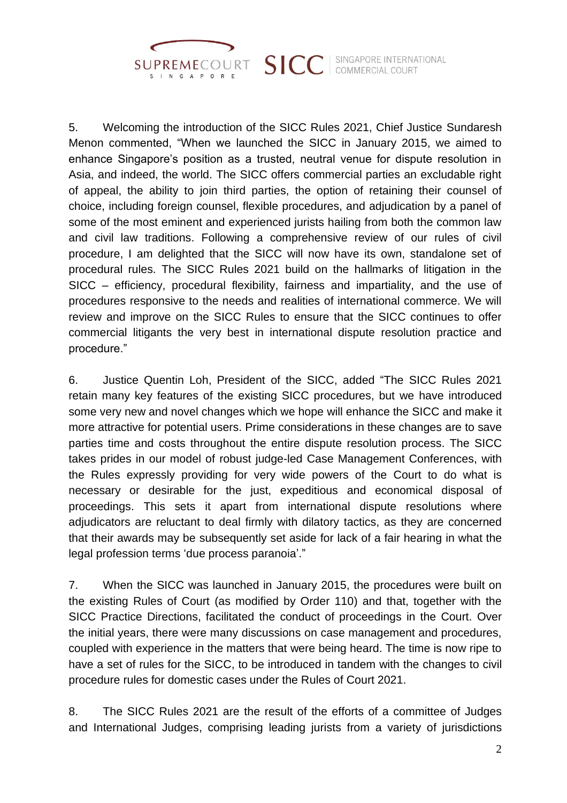

SINGAPORE INTERNATIONAL COMMERCIAL COURT

5. Welcoming the introduction of the SICC Rules 2021, Chief Justice Sundaresh Menon commented, "When we launched the SICC in January 2015, we aimed to enhance Singapore's position as a trusted, neutral venue for dispute resolution in Asia, and indeed, the world. The SICC offers commercial parties an excludable right of appeal, the ability to join third parties, the option of retaining their counsel of choice, including foreign counsel, flexible procedures, and adjudication by a panel of some of the most eminent and experienced jurists hailing from both the common law and civil law traditions. Following a comprehensive review of our rules of civil procedure, I am delighted that the SICC will now have its own, standalone set of procedural rules. The SICC Rules 2021 build on the hallmarks of litigation in the SICC – efficiency, procedural flexibility, fairness and impartiality, and the use of procedures responsive to the needs and realities of international commerce. We will review and improve on the SICC Rules to ensure that the SICC continues to offer commercial litigants the very best in international dispute resolution practice and procedure."

**SICC** 

6. Justice Quentin Loh, President of the SICC, added "The SICC Rules 2021 retain many key features of the existing SICC procedures, but we have introduced some very new and novel changes which we hope will enhance the SICC and make it more attractive for potential users. Prime considerations in these changes are to save parties time and costs throughout the entire dispute resolution process. The SICC takes prides in our model of robust judge-led Case Management Conferences, with the Rules expressly providing for very wide powers of the Court to do what is necessary or desirable for the just, expeditious and economical disposal of proceedings. This sets it apart from international dispute resolutions where adjudicators are reluctant to deal firmly with dilatory tactics, as they are concerned that their awards may be subsequently set aside for lack of a fair hearing in what the legal profession terms 'due process paranoia'."

7. When the SICC was launched in January 2015, the procedures were built on the existing Rules of Court (as modified by Order 110) and that, together with the SICC Practice Directions, facilitated the conduct of proceedings in the Court. Over the initial years, there were many discussions on case management and procedures, coupled with experience in the matters that were being heard. The time is now ripe to have a set of rules for the SICC, to be introduced in tandem with the changes to civil procedure rules for domestic cases under the Rules of Court 2021.

8. The SICC Rules 2021 are the result of the efforts of a committee of Judges and International Judges, comprising leading jurists from a variety of jurisdictions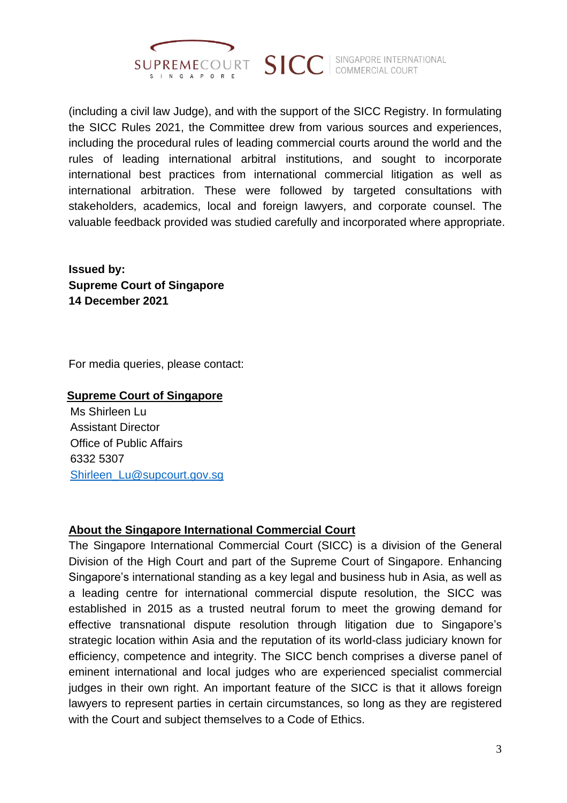

(including a civil law Judge), and with the support of the SICC Registry. In formulating the SICC Rules 2021, the Committee drew from various sources and experiences, including the procedural rules of leading commercial courts around the world and the rules of leading international arbitral institutions, and sought to incorporate international best practices from international commercial litigation as well as international arbitration. These were followed by targeted consultations with stakeholders, academics, local and foreign lawyers, and corporate counsel. The valuable feedback provided was studied carefully and incorporated where appropriate.

**Issued by: Supreme Court of Singapore 14 December 2021**

For media queries, please contact:

#### **Supreme Court of Singapore**

Ms Shirleen Lu Assistant Director Office of Public Affairs 6332 5307 [Shirleen\\_Lu@supcourt.gov.sg](mailto:Shirleen_Lu@supcourt.gov.sg)

## **About the Singapore International Commercial Court**

The Singapore International Commercial Court (SICC) is a division of the General Division of the High Court and part of the Supreme Court of Singapore. Enhancing Singapore's international standing as a key legal and business hub in Asia, as well as a leading centre for international commercial dispute resolution, the SICC was established in 2015 as a trusted neutral forum to meet the growing demand for effective transnational dispute resolution through litigation due to Singapore's strategic location within Asia and the reputation of its world-class judiciary known for efficiency, competence and integrity. The SICC bench comprises a diverse panel of eminent international and local judges who are experienced specialist commercial judges in their own right. An important feature of the SICC is that it allows foreign lawyers to represent parties in certain circumstances, so long as they are registered with the Court and subject themselves to a Code of Ethics.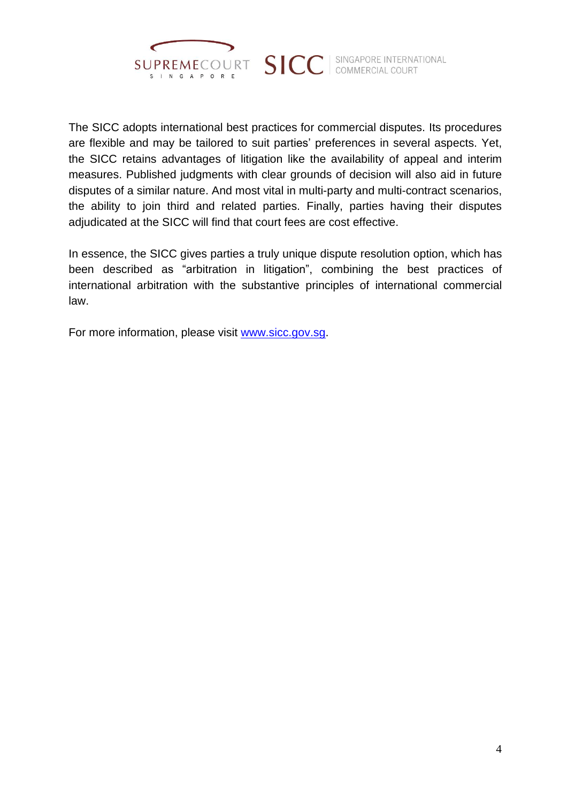

SINGAPORE INTERNATIONAL COMMERCIAL COURT

The SICC adopts international best practices for commercial disputes. Its procedures are flexible and may be tailored to suit parties' preferences in several aspects. Yet, the SICC retains advantages of litigation like the availability of appeal and interim measures. Published judgments with clear grounds of decision will also aid in future disputes of a similar nature. And most vital in multi-party and multi-contract scenarios, the ability to join third and related parties. Finally, parties having their disputes adjudicated at the SICC will find that court fees are cost effective.

**SICC** 

In essence, the SICC gives parties a truly unique dispute resolution option, which has been described as "arbitration in litigation", combining the best practices of international arbitration with the substantive principles of international commercial law.

For more information, please visit [www.sicc.gov.sg.](http://www.sicc.gov.sg/)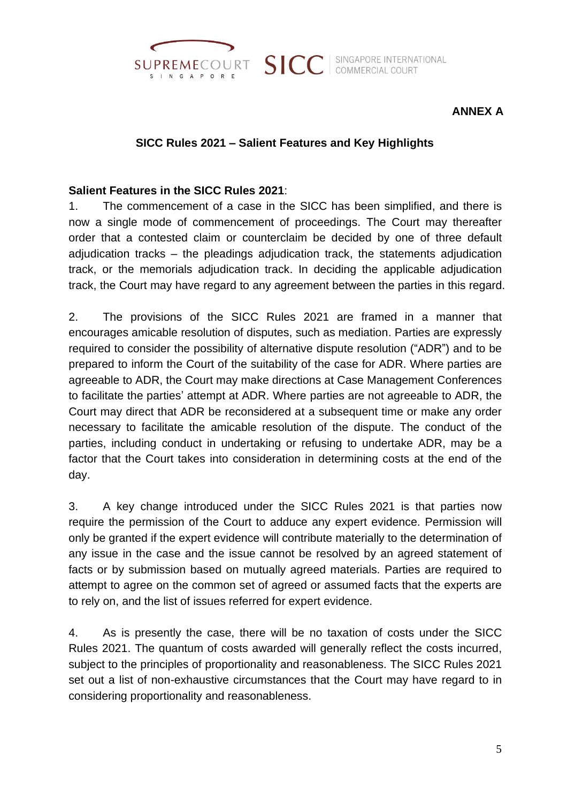

SINGAPORE INTERNATIONAL COMMERCIAL COURT

# **ANNEX A**

#### **SICC Rules 2021 – Salient Features and Key Highlights**

**SICC** 

#### **Salient Features in the SICC Rules 2021**:

1. The commencement of a case in the SICC has been simplified, and there is now a single mode of commencement of proceedings. The Court may thereafter order that a contested claim or counterclaim be decided by one of three default adjudication tracks – the pleadings adjudication track, the statements adjudication track, or the memorials adjudication track. In deciding the applicable adjudication track, the Court may have regard to any agreement between the parties in this regard.

2. The provisions of the SICC Rules 2021 are framed in a manner that encourages amicable resolution of disputes, such as mediation. Parties are expressly required to consider the possibility of alternative dispute resolution ("ADR") and to be prepared to inform the Court of the suitability of the case for ADR. Where parties are agreeable to ADR, the Court may make directions at Case Management Conferences to facilitate the parties' attempt at ADR. Where parties are not agreeable to ADR, the Court may direct that ADR be reconsidered at a subsequent time or make any order necessary to facilitate the amicable resolution of the dispute. The conduct of the parties, including conduct in undertaking or refusing to undertake ADR, may be a factor that the Court takes into consideration in determining costs at the end of the day.

3. A key change introduced under the SICC Rules 2021 is that parties now require the permission of the Court to adduce any expert evidence. Permission will only be granted if the expert evidence will contribute materially to the determination of any issue in the case and the issue cannot be resolved by an agreed statement of facts or by submission based on mutually agreed materials. Parties are required to attempt to agree on the common set of agreed or assumed facts that the experts are to rely on, and the list of issues referred for expert evidence.

4. As is presently the case, there will be no taxation of costs under the SICC Rules 2021. The quantum of costs awarded will generally reflect the costs incurred, subject to the principles of proportionality and reasonableness. The SICC Rules 2021 set out a list of non-exhaustive circumstances that the Court may have regard to in considering proportionality and reasonableness.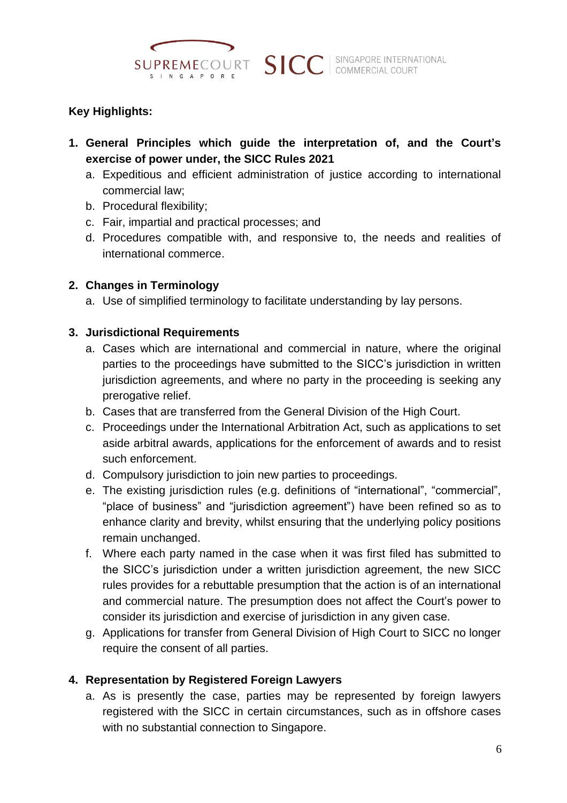

# **Key Highlights:**

**1. General Principles which guide the interpretation of, and the Court's exercise of power under, the SICC Rules 2021**

**SICC** 

- a. Expeditious and efficient administration of justice according to international commercial law;
- b. Procedural flexibility;
- c. Fair, impartial and practical processes; and
- d. Procedures compatible with, and responsive to, the needs and realities of international commerce.

## **2. Changes in Terminology**

a. Use of simplified terminology to facilitate understanding by lay persons.

## **3. Jurisdictional Requirements**

- a. Cases which are international and commercial in nature, where the original parties to the proceedings have submitted to the SICC's jurisdiction in written jurisdiction agreements, and where no party in the proceeding is seeking any prerogative relief.
- b. Cases that are transferred from the General Division of the High Court.
- c. Proceedings under the International Arbitration Act, such as applications to set aside arbitral awards, applications for the enforcement of awards and to resist such enforcement.
- d. Compulsory jurisdiction to join new parties to proceedings.
- e. The existing jurisdiction rules (e.g. definitions of "international", "commercial", "place of business" and "jurisdiction agreement") have been refined so as to enhance clarity and brevity, whilst ensuring that the underlying policy positions remain unchanged.
- f. Where each party named in the case when it was first filed has submitted to the SICC's jurisdiction under a written jurisdiction agreement, the new SICC rules provides for a rebuttable presumption that the action is of an international and commercial nature. The presumption does not affect the Court's power to consider its jurisdiction and exercise of jurisdiction in any given case.
- g. Applications for transfer from General Division of High Court to SICC no longer require the consent of all parties.

## **4. Representation by Registered Foreign Lawyers**

a. As is presently the case, parties may be represented by foreign lawyers registered with the SICC in certain circumstances, such as in offshore cases with no substantial connection to Singapore.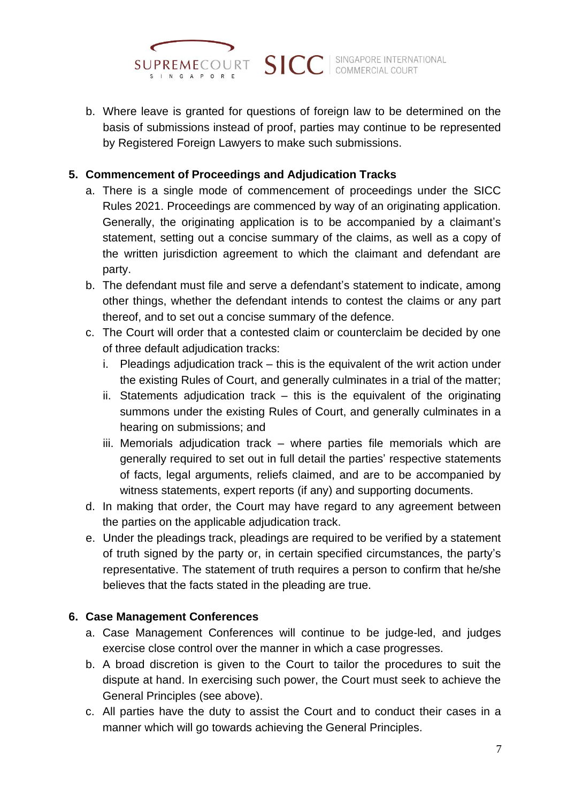

b. Where leave is granted for questions of foreign law to be determined on the basis of submissions instead of proof, parties may continue to be represented by Registered Foreign Lawyers to make such submissions.

## **5. Commencement of Proceedings and Adjudication Tracks**

- a. There is a single mode of commencement of proceedings under the SICC Rules 2021. Proceedings are commenced by way of an originating application. Generally, the originating application is to be accompanied by a claimant's statement, setting out a concise summary of the claims, as well as a copy of the written jurisdiction agreement to which the claimant and defendant are party.
- b. The defendant must file and serve a defendant's statement to indicate, among other things, whether the defendant intends to contest the claims or any part thereof, and to set out a concise summary of the defence.
- c. The Court will order that a contested claim or counterclaim be decided by one of three default adjudication tracks:
	- i. Pleadings adjudication track this is the equivalent of the writ action under the existing Rules of Court, and generally culminates in a trial of the matter;
	- ii. Statements adjudication track this is the equivalent of the originating summons under the existing Rules of Court, and generally culminates in a hearing on submissions; and
	- iii. Memorials adjudication track where parties file memorials which are generally required to set out in full detail the parties' respective statements of facts, legal arguments, reliefs claimed, and are to be accompanied by witness statements, expert reports (if any) and supporting documents.
- d. In making that order, the Court may have regard to any agreement between the parties on the applicable adjudication track.
- e. Under the pleadings track, pleadings are required to be verified by a statement of truth signed by the party or, in certain specified circumstances, the party's representative. The statement of truth requires a person to confirm that he/she believes that the facts stated in the pleading are true.

## **6. Case Management Conferences**

- a. Case Management Conferences will continue to be judge-led, and judges exercise close control over the manner in which a case progresses.
- b. A broad discretion is given to the Court to tailor the procedures to suit the dispute at hand. In exercising such power, the Court must seek to achieve the General Principles (see above).
- c. All parties have the duty to assist the Court and to conduct their cases in a manner which will go towards achieving the General Principles.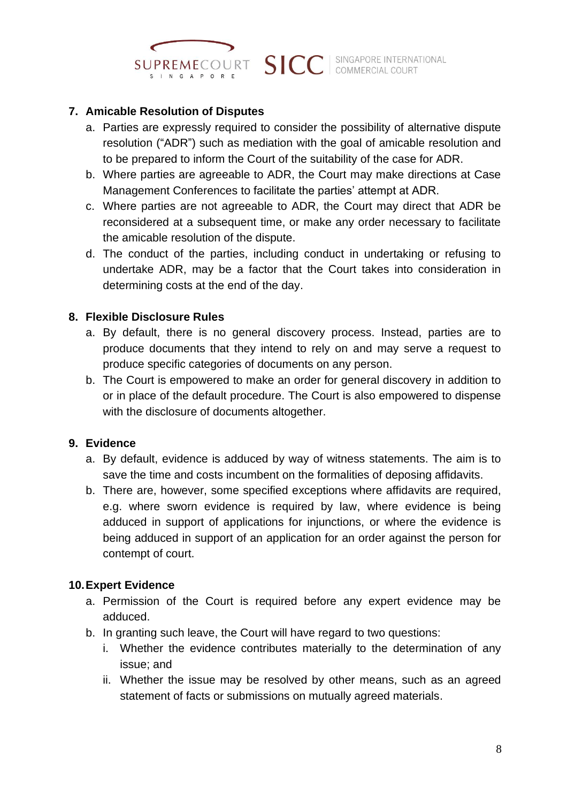

## **7. Amicable Resolution of Disputes**

- a. Parties are expressly required to consider the possibility of alternative dispute resolution ("ADR") such as mediation with the goal of amicable resolution and to be prepared to inform the Court of the suitability of the case for ADR.
- b. Where parties are agreeable to ADR, the Court may make directions at Case Management Conferences to facilitate the parties' attempt at ADR.
- c. Where parties are not agreeable to ADR, the Court may direct that ADR be reconsidered at a subsequent time, or make any order necessary to facilitate the amicable resolution of the dispute.
- d. The conduct of the parties, including conduct in undertaking or refusing to undertake ADR, may be a factor that the Court takes into consideration in determining costs at the end of the day.

#### **8. Flexible Disclosure Rules**

- a. By default, there is no general discovery process. Instead, parties are to produce documents that they intend to rely on and may serve a request to produce specific categories of documents on any person.
- b. The Court is empowered to make an order for general discovery in addition to or in place of the default procedure. The Court is also empowered to dispense with the disclosure of documents altogether.

## **9. Evidence**

- a. By default, evidence is adduced by way of witness statements. The aim is to save the time and costs incumbent on the formalities of deposing affidavits.
- b. There are, however, some specified exceptions where affidavits are required, e.g. where sworn evidence is required by law, where evidence is being adduced in support of applications for injunctions, or where the evidence is being adduced in support of an application for an order against the person for contempt of court.

## **10.Expert Evidence**

- a. Permission of the Court is required before any expert evidence may be adduced.
- b. In granting such leave, the Court will have regard to two questions:
	- i. Whether the evidence contributes materially to the determination of any issue; and
	- ii. Whether the issue may be resolved by other means, such as an agreed statement of facts or submissions on mutually agreed materials.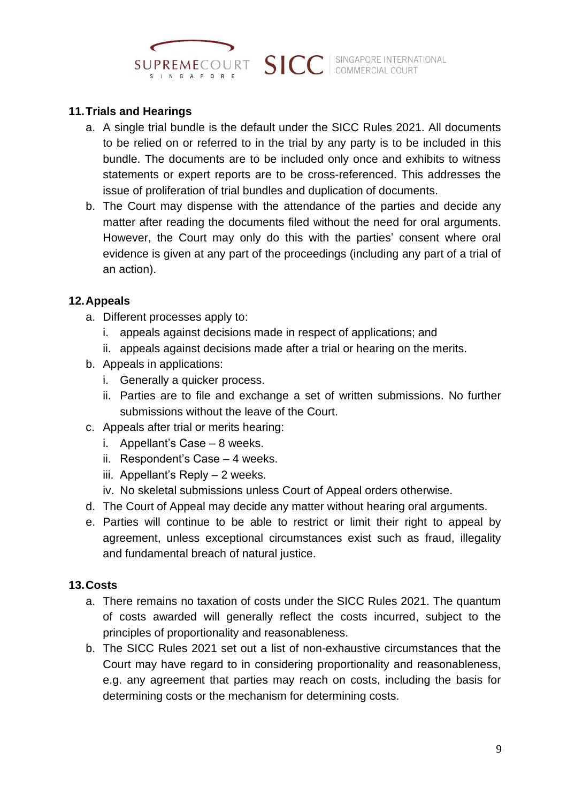

## **11.Trials and Hearings**

- a. A single trial bundle is the default under the SICC Rules 2021. All documents to be relied on or referred to in the trial by any party is to be included in this bundle. The documents are to be included only once and exhibits to witness statements or expert reports are to be cross-referenced. This addresses the issue of proliferation of trial bundles and duplication of documents.
- b. The Court may dispense with the attendance of the parties and decide any matter after reading the documents filed without the need for oral arguments. However, the Court may only do this with the parties' consent where oral evidence is given at any part of the proceedings (including any part of a trial of an action).

#### **12.Appeals**

- a. Different processes apply to:
	- i. appeals against decisions made in respect of applications; and
	- ii. appeals against decisions made after a trial or hearing on the merits.
- b. Appeals in applications:
	- i. Generally a quicker process.
	- ii. Parties are to file and exchange a set of written submissions. No further submissions without the leave of the Court.
- c. Appeals after trial or merits hearing:
	- i. Appellant's Case 8 weeks.
	- ii. Respondent's Case 4 weeks.
	- iii. Appellant's Reply 2 weeks.
	- iv. No skeletal submissions unless Court of Appeal orders otherwise.
- d. The Court of Appeal may decide any matter without hearing oral arguments.
- e. Parties will continue to be able to restrict or limit their right to appeal by agreement, unless exceptional circumstances exist such as fraud, illegality and fundamental breach of natural justice.

## **13.Costs**

- a. There remains no taxation of costs under the SICC Rules 2021. The quantum of costs awarded will generally reflect the costs incurred, subject to the principles of proportionality and reasonableness.
- b. The SICC Rules 2021 set out a list of non-exhaustive circumstances that the Court may have regard to in considering proportionality and reasonableness, e.g. any agreement that parties may reach on costs, including the basis for determining costs or the mechanism for determining costs.